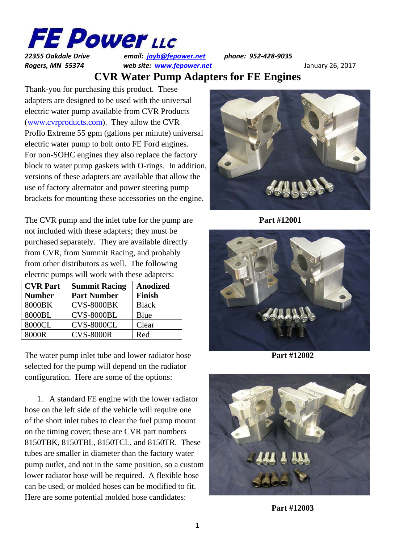

*22355 Oakdale Drive email: jayb@fepower.net phone: 952‐428‐9035* **Rogers, MN 55374** *web site: www.fepower.net mediationally 26, 2017* 

## **CVR Water Pump Adapters for FE Engines**

Thank-you for purchasing this product. These adapters are designed to be used with the universal electric water pump available from CVR Products (www.cvrproducts.com). They allow the CVR Proflo Extreme 55 gpm (gallons per minute) universal electric water pump to bolt onto FE Ford engines. For non-SOHC engines they also replace the factory block to water pump gaskets with O-rings. In addition, versions of these adapters are available that allow the use of factory alternator and power steering pump brackets for mounting these accessories on the engine.

The CVR pump and the inlet tube for the pump are **Part #12001** not included with these adapters; they must be purchased separately. They are available directly from CVR, from Summit Racing, and probably from other distributors as well. The following electric pumps will work with these adapters:

| <b>CVR Part</b> | <b>Summit Racing</b> | <b>Anodized</b> |
|-----------------|----------------------|-----------------|
| <b>Number</b>   | <b>Part Number</b>   | <b>Finish</b>   |
| 8000BK          | <b>CVS-8000BK</b>    | <b>Black</b>    |
| 8000BL          | <b>CVS-8000BL</b>    | Blue            |
| 8000CL          | <b>CVS-8000CL</b>    | Clear           |
| 8000R           | <b>CVS-8000R</b>     | Red             |

The water pump inlet tube and lower radiator hose **Part #12002** selected for the pump will depend on the radiator configuration. Here are some of the options:

1. A standard FE engine with the lower radiator hose on the left side of the vehicle will require one of the short inlet tubes to clear the fuel pump mount on the timing cover; these are CVR part numbers 8150TBK, 8150TBL, 8150TCL, and 8150TR. These tubes are smaller in diameter than the factory water pump outlet, and not in the same position, so a custom lower radiator hose will be required. A flexible hose can be used, or molded hoses can be modified to fit. Here are some potential molded hose candidates:







**Part #12003**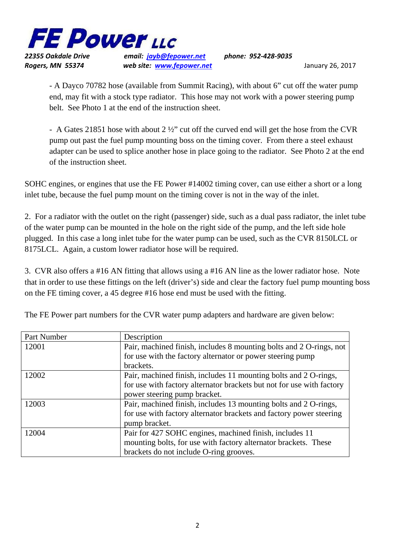

*22355 Oakdale Drive email: jayb@fepower.net phone: 952‐428‐9035* **Rogers, MN 55374** *web site: www.fepower.net media and the state of the state of the state of the state of the state of the state of the state of the state of the state of the state of the state of the state of t* 

- A Dayco 70782 hose (available from Summit Racing), with about 6" cut off the water pump end, may fit with a stock type radiator. This hose may not work with a power steering pump belt. See Photo 1 at the end of the instruction sheet.

 - A Gates 21851 hose with about 2 ½" cut off the curved end will get the hose from the CVR pump out past the fuel pump mounting boss on the timing cover. From there a steel exhaust adapter can be used to splice another hose in place going to the radiator. See Photo 2 at the end of the instruction sheet.

SOHC engines, or engines that use the FE Power #14002 timing cover, can use either a short or a long inlet tube, because the fuel pump mount on the timing cover is not in the way of the inlet.

2. For a radiator with the outlet on the right (passenger) side, such as a dual pass radiator, the inlet tube of the water pump can be mounted in the hole on the right side of the pump, and the left side hole plugged. In this case a long inlet tube for the water pump can be used, such as the CVR 8150LCL or 8175LCL. Again, a custom lower radiator hose will be required.

3. CVR also offers a #16 AN fitting that allows using a #16 AN line as the lower radiator hose. Note that in order to use these fittings on the left (driver's) side and clear the factory fuel pump mounting boss on the FE timing cover, a 45 degree #16 hose end must be used with the fitting.

| Part Number | Description                                                           |
|-------------|-----------------------------------------------------------------------|
| 12001       | Pair, machined finish, includes 8 mounting bolts and 2 O-rings, not   |
|             | for use with the factory alternator or power steering pump            |
|             | brackets.                                                             |
| 12002       | Pair, machined finish, includes 11 mounting bolts and 2 O-rings,      |
|             | for use with factory alternator brackets but not for use with factory |
|             | power steering pump bracket.                                          |
| 12003       | Pair, machined finish, includes 13 mounting bolts and 2 O-rings,      |
|             | for use with factory alternator brackets and factory power steering   |
|             | pump bracket.                                                         |
| 12004       | Pair for 427 SOHC engines, machined finish, includes 11               |
|             | mounting bolts, for use with factory alternator brackets. These       |
|             | brackets do not include O-ring grooves.                               |

The FE Power part numbers for the CVR water pump adapters and hardware are given below: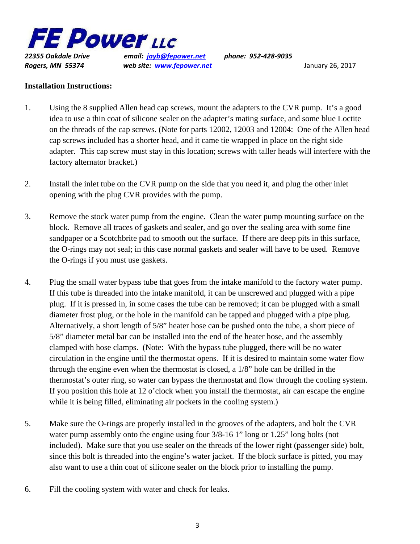

*22355 Oakdale Drive email: jayb@fepower.net phone: 952‐428‐9035 Rogers, MN 55374 web site: www.fepower.net* January 26, 2017

## **Installation Instructions:**

- 1. Using the 8 supplied Allen head cap screws, mount the adapters to the CVR pump. It's a good idea to use a thin coat of silicone sealer on the adapter's mating surface, and some blue Loctite on the threads of the cap screws. (Note for parts 12002, 12003 and 12004: One of the Allen head cap screws included has a shorter head, and it came tie wrapped in place on the right side adapter. This cap screw must stay in this location; screws with taller heads will interfere with the factory alternator bracket.)
- 2. Install the inlet tube on the CVR pump on the side that you need it, and plug the other inlet opening with the plug CVR provides with the pump.
- 3. Remove the stock water pump from the engine. Clean the water pump mounting surface on the block. Remove all traces of gaskets and sealer, and go over the sealing area with some fine sandpaper or a Scotchbrite pad to smooth out the surface. If there are deep pits in this surface, the O-rings may not seal; in this case normal gaskets and sealer will have to be used. Remove the O-rings if you must use gaskets.
- 4. Plug the small water bypass tube that goes from the intake manifold to the factory water pump. If this tube is threaded into the intake manifold, it can be unscrewed and plugged with a pipe plug. If it is pressed in, in some cases the tube can be removed; it can be plugged with a small diameter frost plug, or the hole in the manifold can be tapped and plugged with a pipe plug. Alternatively, a short length of 5/8" heater hose can be pushed onto the tube, a short piece of 5/8" diameter metal bar can be installed into the end of the heater hose, and the assembly clamped with hose clamps. (Note: With the bypass tube plugged, there will be no water circulation in the engine until the thermostat opens. If it is desired to maintain some water flow through the engine even when the thermostat is closed, a 1/8" hole can be drilled in the thermostat's outer ring, so water can bypass the thermostat and flow through the cooling system. If you position this hole at 12 o'clock when you install the thermostat, air can escape the engine while it is being filled, eliminating air pockets in the cooling system.)
- 5. Make sure the O-rings are properly installed in the grooves of the adapters, and bolt the CVR water pump assembly onto the engine using four  $3/8-16$  1" long or 1.25" long bolts (not included). Make sure that you use sealer on the threads of the lower right (passenger side) bolt, since this bolt is threaded into the engine's water jacket. If the block surface is pitted, you may also want to use a thin coat of silicone sealer on the block prior to installing the pump.
- 6. Fill the cooling system with water and check for leaks.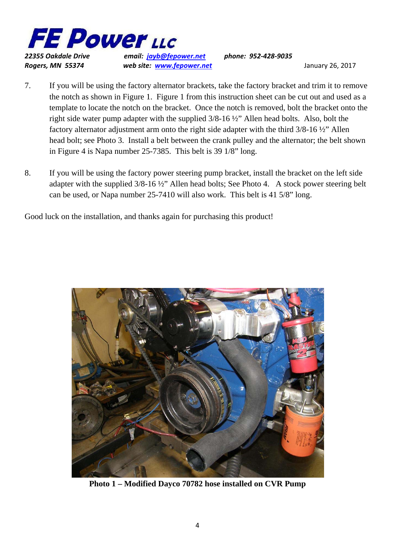

*22355 Oakdale Drive email: jayb@fepower.net phone: 952‐428‐9035* **Rogers, MN 55374** *web site: www.fepower.net* **<b>***members and the site of the site of the site of the site of the site of the site of the site of the site of the site of the site of the site of the site of the site of* 

- 7. If you will be using the factory alternator brackets, take the factory bracket and trim it to remove the notch as shown in Figure 1. Figure 1 from this instruction sheet can be cut out and used as a template to locate the notch on the bracket. Once the notch is removed, bolt the bracket onto the right side water pump adapter with the supplied 3/8-16 ½" Allen head bolts. Also, bolt the factory alternator adjustment arm onto the right side adapter with the third 3/8-16 ½" Allen head bolt; see Photo 3. Install a belt between the crank pulley and the alternator; the belt shown in Figure 4 is Napa number 25-7385. This belt is 39 1/8" long.
- 8. If you will be using the factory power steering pump bracket, install the bracket on the left side adapter with the supplied 3/8-16 ½" Allen head bolts; See Photo 4. A stock power steering belt can be used, or Napa number 25-7410 will also work. This belt is 41 5/8" long.

Good luck on the installation, and thanks again for purchasing this product!



**Photo 1 – Modified Dayco 70782 hose installed on CVR Pump**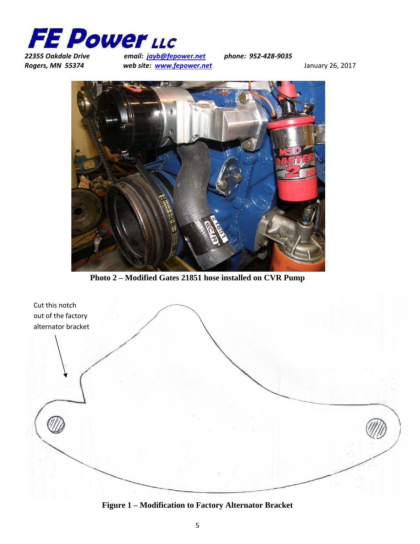

*22355 Oakdale Drive email: jayb@fepower.net phone: 952‐428‐9035* **Rogers, MN 55374** *web site: www.fepower.net mediation**Standary 26, 2017**Mediation**Mediation**Web site:* **<b>***www.fepower.net mediation**Mediation**Mediation**Mediation**Mediation**Mediation**Mediat* 



**Photo 2 – Modified Gates 21851 hose installed on CVR Pump** 



**Figure 1 – Modification to Factory Alternator Bracket**